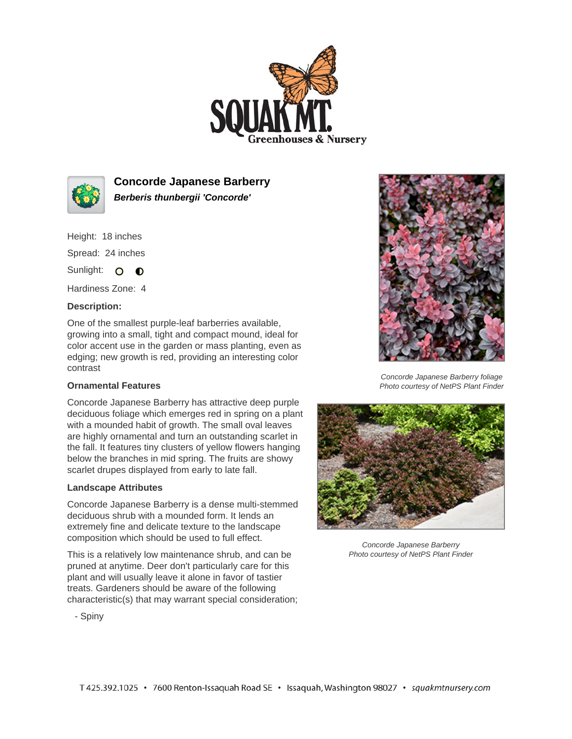



**Concorde Japanese Barberry Berberis thunbergii 'Concorde'**

Height: 18 inches

Spread: 24 inches

Sunlight: O **O** 

Hardiness Zone: 4

## **Description:**

One of the smallest purple-leaf barberries available, growing into a small, tight and compact mound, ideal for color accent use in the garden or mass planting, even as edging; new growth is red, providing an interesting color contrast

## **Ornamental Features**

Concorde Japanese Barberry has attractive deep purple deciduous foliage which emerges red in spring on a plant with a mounded habit of growth. The small oval leaves are highly ornamental and turn an outstanding scarlet in the fall. It features tiny clusters of yellow flowers hanging below the branches in mid spring. The fruits are showy scarlet drupes displayed from early to late fall.

## **Landscape Attributes**

Concorde Japanese Barberry is a dense multi-stemmed deciduous shrub with a mounded form. It lends an extremely fine and delicate texture to the landscape composition which should be used to full effect.

This is a relatively low maintenance shrub, and can be pruned at anytime. Deer don't particularly care for this plant and will usually leave it alone in favor of tastier treats. Gardeners should be aware of the following characteristic(s) that may warrant special consideration;



Concorde Japanese Barberry foliage Photo courtesy of NetPS Plant Finder



Concorde Japanese Barberry Photo courtesy of NetPS Plant Finder

- Spiny